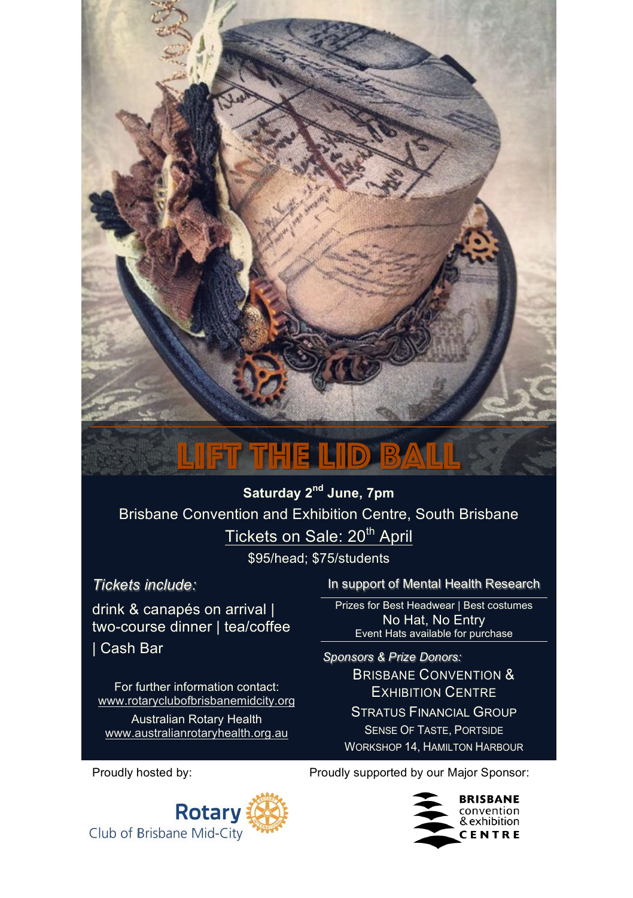## Lift the Lid ball

**Saturday 2nd June, 7pm** Brisbane Convention and Exhibition Centre, South Brisbane Tickets on Sale: 20<sup>th</sup> April

\$95/head; \$75/students

*Tickets include:* 

drink & canapés on arrival | two-course dinner | tea/coffee | Cash Bar

For further information contact: www.rotaryclubofbrisbanemidcity.org

Australian Rotary Health www.australianrotaryhealth.org.au In support of Mental Health Research

Prizes for Best Headwear | Best costumes No Hat, No Entry Event Hats available for purchase

*Sponsors & Prize Donors:*  BRISBANE CONVENTION & EXHIBITION CENTRE STRATUS FINANCIAL GROUP SENSE OF TASTE, PORTSIDE WORKSHOP 14, HAMILTON HARBOUR

Proudly hosted by: Proudly supported by our Major Sponsor: